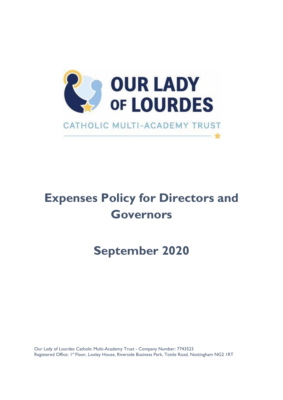

# **Expenses Policy for Directors and Governors**

# **September 2020**

Our Lady of Lourdes Catholic Multi-Academy Trust - Company Number: 7743523 Registered Office: 1st Floor, Loxley House, Riverside Business Park, Tottle Road, Nottingham NG2 IRT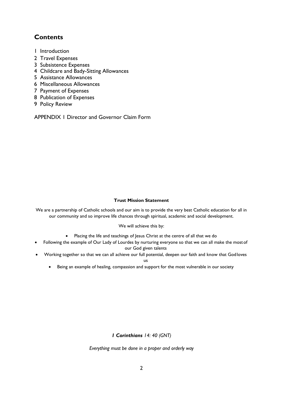## **Contents**

- 1 Introduction
- 2 Travel Expenses
- 3 Subsistence Expenses
- 4 Childcare and Bady-Sitting Allowances
- 5 Assistance Allowances
- 6 Miscellaneous Allowances
- 7 Payment of Expenses
- 8 Publication of Expenses
- 9 Policy Review

APPENDIX 1 Director and Governor Claim Form

#### **Trust Mission Statement**

We are a partnership of Catholic schools and our aim is to provide the very best Catholic education for all in our community and so improve life chances through spiritual, academic and social development.

#### We will achieve this by:

- Placing the life and teachings of Jesus Christ at the centre of all that we do
- Following the example of Our Lady of Lourdes by nurturing everyone so that we can all make the mostof our God given talents
- Working together so that we can all achieve our full potential, deepen our faith and know that Godloves us
	- Being an example of healing, compassion and support for the most vulnerable in our society

#### *1 Corinthians 14: 40 (GNT)*

*Everything must be done in a proper and orderly way*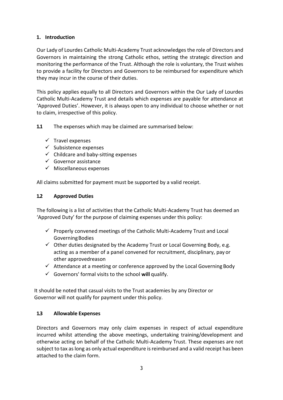## **1. Introduction**

Our Lady of Lourdes Catholic Multi-Academy Trust acknowledgesthe role of Directors and Governors in maintaining the strong Catholic ethos, setting the strategic direction and monitoring the performance of the Trust. Although the role is voluntary, the Trust wishes to provide a facility for Directors and Governors to be reimbursed for expenditure which they may incur in the course of their duties.

This policy applies equally to all Directors and Governors within the Our Lady of Lourdes Catholic Multi-Academy Trust and details which expenses are payable for attendance at 'Approved Duties'. However, it is always open to any individual to choose whether or not to claim, irrespective of this policy.

**1.1** The expenses which may be claimed are summarised below:

- $\checkmark$  Travel expenses
- $\checkmark$  Subsistence expenses
- $\checkmark$  Childcare and baby-sitting expenses
- $\checkmark$  Governor assistance
- $\checkmark$  Miscellaneous expenses

All claims submitted for payment must be supported by a valid receipt.

### **1.2 Approved Duties**

The following is a list of activities that the Catholic Multi-Academy Trust has deemed an 'Approved Duty' for the purpose of claiming expenses under this policy:

- $\checkmark$  Properly convened meetings of the Catholic Multi-Academy Trust and Local GoverningBodies
- $\checkmark$  Other duties designated by the Academy Trust or Local Governing Body, e.g. acting as a member of a panel convened for recruitment, disciplinary, pay or other approvedreason
- $\checkmark$  Attendance at a meeting or conference approved by the Local Governing Body
- Governors' formal visits to the school **will** qualify.

It should be noted that casual visits to the Trust academies by any Director or Governor will not qualify for payment under this policy.

#### **1.3 Allowable Expenses**

Directors and Governors may only claim expenses in respect of actual expenditure incurred whilst attending the above meetings, undertaking training/development and otherwise acting on behalf of the Catholic Multi-Academy Trust. These expenses are not subject to tax as long as only actual expenditure is reimbursed and a valid receipt has been attached to the claim form.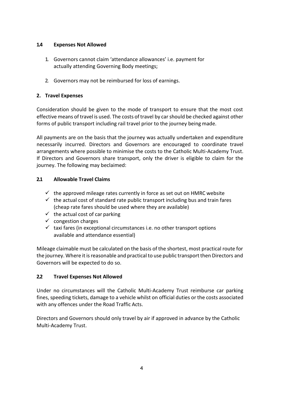## **1.4 Expenses Not Allowed**

- 1. Governors cannot claim 'attendance allowances' i.e. payment for actually attending Governing Body meetings;
- 2. Governors may not be reimbursed for loss of earnings.

## **2. Travel Expenses**

Consideration should be given to the mode of transport to ensure that the most cost effective means of travel is used. The costs of travel by car should be checked against other forms of public transport including rail travel prior to the journey being made.

All payments are on the basis that the journey was actually undertaken and expenditure necessarily incurred. Directors and Governors are encouraged to coordinate travel arrangements where possible to minimise the costs to the Catholic Multi-Academy Trust. If Directors and Governors share transport, only the driver is eligible to claim for the journey. The following may beclaimed:

## **2.1 Allowable Travel Claims**

- $\checkmark$  the approved mileage rates currently in force as set out on HMRC website
- $\checkmark$  the actual cost of standard rate public transport including bus and train fares (cheap rate fares should be used where they are available)
- $\checkmark$  the actual cost of car parking
- $\checkmark$  congestion charges
- $\checkmark$  taxi fares (in exceptional circumstances i.e. no other transport options available and attendance essential)

Mileage claimable must be calculated on the basis of the shortest, most practical route for the journey. Where it is reasonable and practical to use public transport then Directors and Governors will be expected to do so.

## **2.2 Travel Expenses Not Allowed**

Under no circumstances will the Catholic Multi-Academy Trust reimburse car parking fines, speeding tickets, damage to a vehicle whilst on official duties or the costs associated with any offences under the Road Traffic Acts.

Directors and Governors should only travel by air if approved in advance by the Catholic Multi-Academy Trust.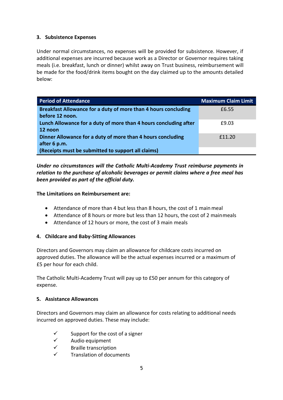## **3. Subsistence Expenses**

Under normal circumstances, no expenses will be provided for subsistence. However, if additional expenses are incurred because work as a Director or Governor requires taking meals (i.e. breakfast, lunch or dinner) whilst away on Trust business, reimbursement will be made for the food/drink items bought on the day claimed up to the amounts detailed below:

| <b>Period of Attendance</b>                                                       | <b>Maximum Claim Limit</b> |
|-----------------------------------------------------------------------------------|----------------------------|
| Breakfast Allowance for a duty of more than 4 hours concluding<br>before 12 noon. | £6.55                      |
| Lunch Allowance for a duty of more than 4 hours concluding after<br>12 noon       | £9.03                      |
| Dinner Allowance for a duty of more than 4 hours concluding<br>after 6 p.m.       | f11.20                     |
| (Receipts must be submitted to support all claims)                                |                            |

*Under no circumstances will the Catholic Multi-Academy Trust reimburse payments in relation to the purchase of alcoholic beverages or permit claims where a free meal has been provided as part of the official duty.*

#### **The Limitations on Reimbursement are:**

- Attendance of more than 4 but less than 8 hours, the cost of 1 main meal
- Attendance of 8 hours or more but less than 12 hours, the cost of 2 mainmeals
- Attendance of 12 hours or more, the cost of 3 main meals

## **4. Childcare and Baby-Sitting Allowances**

Directors and Governors may claim an allowance for childcare costs incurred on approved duties. The allowance will be the actual expenses incurred or a maximum of £5 per hour for each child.

The Catholic Multi-Academy Trust will pay up to £50 per annum for this category of expense.

#### **5. Assistance Allowances**

Directors and Governors may claim an allowance for costs relating to additional needs incurred on approved duties. These may include:

- Support for the cost of a signer
- $\checkmark$  Audio equipment
- $\checkmark$  Braille transcription<br> $\checkmark$  Translation of docur
- Translation of documents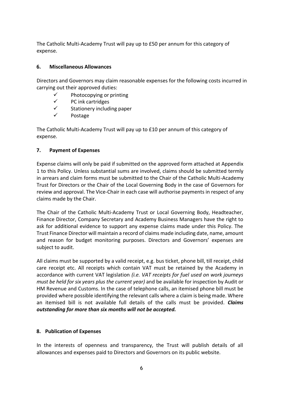The Catholic Multi-Academy Trust will pay up to £50 per annum for this category of expense.

### **6. Miscellaneous Allowances**

Directors and Governors may claim reasonable expenses for the following costs incurred in carrying out their approved duties:

- $\checkmark$  Photocopying or printing<br> $\checkmark$  PC ink cartridges
- PC ink cartridges
- $\checkmark$  Stationery including paper
- $\checkmark$  Postage

The Catholic Multi-Academy Trust will pay up to £10 per annum of this category of expense.

## **7. Payment of Expenses**

Expense claims will only be paid if submitted on the approved form attached at Appendix 1 to this Policy. Unless substantial sums are involved, claims should be submitted termly in arrears and claim forms must be submitted to the Chair of the Catholic Multi-Academy Trust for Directors or the Chair of the Local Governing Body in the case of Governors for review and approval. The Vice-Chair in each case will authorise payments in respect of any claims made by the Chair.

The Chair of the Catholic Multi-Academy Trust or Local Governing Body, Headteacher, Finance Director, Company Secretary and Academy Business Managers have the right to ask for additional evidence to support any expense claims made under this Policy. The Trust Finance Director will maintain a record of claims made including date, name, amount and reason for budget monitoring purposes. Directors and Governors' expenses are subject to audit.

All claims must be supported by a valid receipt, e.g. bus ticket, phone bill, till receipt, child care receipt etc. All receipts which contain VAT must be retained by the Academy in accordance with current VAT legislation *(i.e. VAT receipts for fuel used on work journeys must be held for six years plus the current year)* and be available for inspection by Audit or HM Revenue and Customs. In the case of telephone calls, an itemised phone bill must be provided where possible identifying the relevant calls where a claim is being made. Where an itemised bill is not available full details of the calls must be provided. *Claims outstanding for more than six months will not be accepted.*

## **8. Publication of Expenses**

In the interests of openness and transparency, the Trust will publish details of all allowances and expenses paid to Directors and Governors on its public website.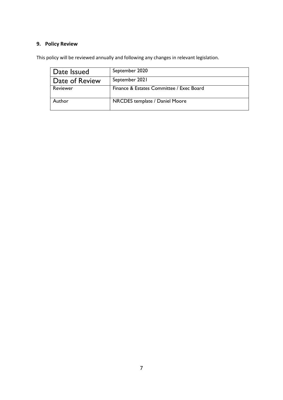## **9. Policy Review**

This policy will be reviewed annually and following any changes in relevant legislation.

| Date Issued    | September 2020                           |
|----------------|------------------------------------------|
| Date of Review | September 2021                           |
| Reviewer       | Finance & Estates Committee / Exec Board |
| Author         | NRCDES template / Daniel Moore           |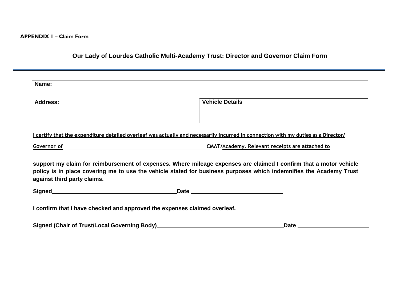## **Our Lady of Lourdes Catholic Multi-Academy Trust: Director and Governor Claim Form**

| Name:           |                        |
|-----------------|------------------------|
| <b>Address:</b> | <b>Vehicle Details</b> |
|                 |                        |

I certify that the expenditure detailed overleaf was actually and necessarily incurred in connection with my duties as a Director/

**Governor of CMAT/Academy. Relevant receipts are attached to**

**support my claim for reimbursement of expenses. Where mileage expenses are claimed I confirm that a motor vehicle policy is in place covering me to use the vehicle stated for business purposes which indemnifies the Academy Trust against third party claims.**

**Signed** 2008 2019 2020 2021 2021 2022 2021 2022 2021 2022 2021 2022 2022 2021 2022 2022 2022 2022 2022 2022 2023 2022 2023 2022 2023 2022 2023 2023 2023 2023 2023 2023 2023 2023 2023 2023 2023 2023 2023 2023 2023 2023 202

**I confirm that I have checked and approved the expenses claimed overleaf.**

| <b>Signed (Chair of Trust/Local Governing Body)</b> | <b>Date</b> |  |
|-----------------------------------------------------|-------------|--|
|                                                     |             |  |